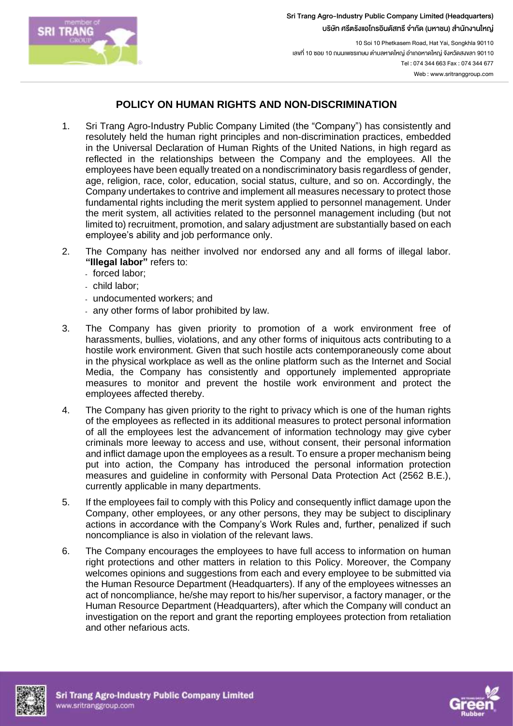

Sri Trang Agro-Industry Public Company Limited (Headquarters) บริษัท ศรีตรังแอโกรอินดัสทรี จำกัด (มหาชน) สำนักงานใหญ่

10 Soi 10 Phetkasem Road, Hat Yai, Songkhla 90110 เลขที่ 10 ซอย 10 ถนนเพชรเกษม ตำบลหาดใหญ่ อำเภอหาดใหญ่ จังหวัดสงขลา 90110 Tel : 074 344 663 Fax : 074 344 677 Web : www.sritranggroup.com

## **POLICY ON HUMAN RIGHTS AND NON-DISCRIMINATION**

- 1. Sri Trang Agro-Industry Public Company Limited (the "Company") has consistently and resolutely held the human right principles and non-discrimination practices, embedded in the Universal Declaration of Human Rights of the United Nations, in high regard as reflected in the relationships between the Company and the employees. All the employees have been equally treated on a nondiscriminatory basis regardless of gender, age, religion, race, color, education, social status, culture, and so on. Accordingly, the Company undertakes to contrive and implement all measures necessary to protect those fundamental rights including the merit system applied to personnel management. Under the merit system, all activities related to the personnel management including (but not limited to) recruitment, promotion, and salary adjustment are substantially based on each employee's ability and job performance only.
- 2. The Company has neither involved nor endorsed any and all forms of illegal labor. **"Illegal labor"** refers to:
	- forced labor;
	- child labor;
	- undocumented workers; and
	- any other forms of labor prohibited by law.
- 3. The Company has given priority to promotion of a work environment free of harassments, bullies, violations, and any other forms of iniquitous acts contributing to a hostile work environment. Given that such hostile acts contemporaneously come about in the physical workplace as well as the online platform such as the Internet and Social Media, the Company has consistently and opportunely implemented appropriate measures to monitor and prevent the hostile work environment and protect the employees affected thereby.
- 4. The Company has given priority to the right to privacy which is one of the human rights of the employees as reflected in its additional measures to protect personal information of all the employees lest the advancement of information technology may give cyber criminals more leeway to access and use, without consent, their personal information and inflict damage upon the employees as a result. To ensure a proper mechanism being put into action, the Company has introduced the personal information protection measures and guideline in conformity with Personal Data Protection Act (2562 B.E.), currently applicable in many departments.
- 5. If the employees fail to comply with this Policy and consequently inflict damage upon the Company, other employees, or any other persons, they may be subject to disciplinary actions in accordance with the Company's Work Rules and, further, penalized if such noncompliance is also in violation of the relevant laws.
- 6. The Company encourages the employees to have full access to information on human right protections and other matters in relation to this Policy. Moreover, the Company welcomes opinions and suggestions from each and every employee to be submitted via the Human Resource Department (Headquarters). If any of the employees witnesses an act of noncompliance, he/she may report to his/her supervisor, a factory manager, or the Human Resource Department (Headquarters), after which the Company will conduct an investigation on the report and grant the reporting employees protection from retaliation and other nefarious acts.